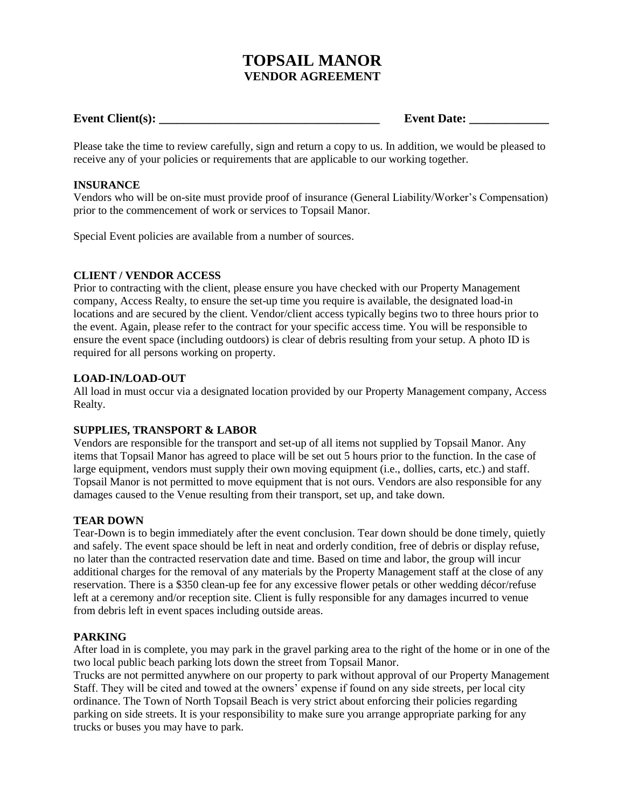# **TOPSAIL MANOR VENDOR AGREEMENT**

# **Event Client(s): \_\_\_\_\_\_\_\_\_\_\_\_\_\_\_\_\_\_\_\_\_\_\_\_\_\_\_\_\_\_\_\_\_\_\_\_ Event Date: \_\_\_\_\_\_\_\_\_\_\_\_\_**

Please take the time to review carefully, sign and return a copy to us. In addition, we would be pleased to receive any of your policies or requirements that are applicable to our working together.

## **INSURANCE**

Vendors who will be on-site must provide proof of insurance (General Liability/Worker's Compensation) prior to the commencement of work or services to Topsail Manor.

Special Event policies are available from a number of sources.

#### **CLIENT / VENDOR ACCESS**

Prior to contracting with the client, please ensure you have checked with our Property Management company, Access Realty, to ensure the set-up time you require is available, the designated load-in locations and are secured by the client. Vendor/client access typically begins two to three hours prior to the event. Again, please refer to the contract for your specific access time. You will be responsible to ensure the event space (including outdoors) is clear of debris resulting from your setup. A photo ID is required for all persons working on property.

## **LOAD-IN/LOAD-OUT**

All load in must occur via a designated location provided by our Property Management company, Access Realty.

#### **SUPPLIES, TRANSPORT & LABOR**

Vendors are responsible for the transport and set-up of all items not supplied by Topsail Manor. Any items that Topsail Manor has agreed to place will be set out 5 hours prior to the function. In the case of large equipment, vendors must supply their own moving equipment (i.e., dollies, carts, etc.) and staff. Topsail Manor is not permitted to move equipment that is not ours. Vendors are also responsible for any damages caused to the Venue resulting from their transport, set up, and take down.

#### **TEAR DOWN**

Tear-Down is to begin immediately after the event conclusion. Tear down should be done timely, quietly and safely. The event space should be left in neat and orderly condition, free of debris or display refuse, no later than the contracted reservation date and time. Based on time and labor, the group will incur additional charges for the removal of any materials by the Property Management staff at the close of any reservation. There is a \$350 clean-up fee for any excessive flower petals or other wedding décor/refuse left at a ceremony and/or reception site. Client is fully responsible for any damages incurred to venue from debris left in event spaces including outside areas.

#### **PARKING**

After load in is complete, you may park in the gravel parking area to the right of the home or in one of the two local public beach parking lots down the street from Topsail Manor.

Trucks are not permitted anywhere on our property to park without approval of our Property Management Staff. They will be cited and towed at the owners' expense if found on any side streets, per local city ordinance. The Town of North Topsail Beach is very strict about enforcing their policies regarding parking on side streets. It is your responsibility to make sure you arrange appropriate parking for any trucks or buses you may have to park.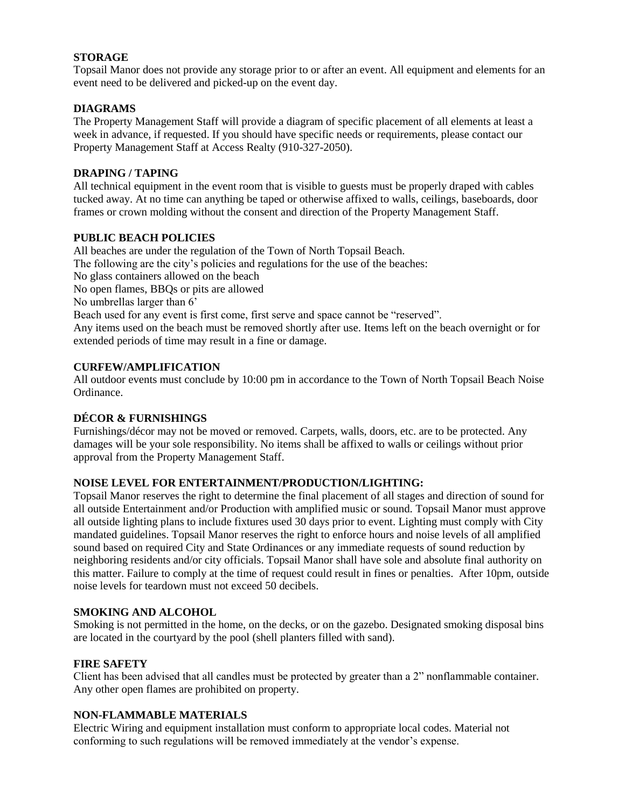## **STORAGE**

Topsail Manor does not provide any storage prior to or after an event. All equipment and elements for an event need to be delivered and picked-up on the event day.

## **DIAGRAMS**

The Property Management Staff will provide a diagram of specific placement of all elements at least a week in advance, if requested. If you should have specific needs or requirements, please contact our Property Management Staff at Access Realty (910-327-2050).

#### **DRAPING / TAPING**

All technical equipment in the event room that is visible to guests must be properly draped with cables tucked away. At no time can anything be taped or otherwise affixed to walls, ceilings, baseboards, door frames or crown molding without the consent and direction of the Property Management Staff.

#### **PUBLIC BEACH POLICIES**

All beaches are under the regulation of the Town of North Topsail Beach. The following are the city's policies and regulations for the use of the beaches: No glass containers allowed on the beach No open flames, BBQs or pits are allowed No umbrellas larger than 6' Beach used for any event is first come, first serve and space cannot be "reserved". Any items used on the beach must be removed shortly after use. Items left on the beach overnight or for extended periods of time may result in a fine or damage.

## **CURFEW/AMPLIFICATION**

All outdoor events must conclude by 10:00 pm in accordance to the Town of North Topsail Beach Noise Ordinance.

# **DÉCOR & FURNISHINGS**

Furnishings/décor may not be moved or removed. Carpets, walls, doors, etc. are to be protected. Any damages will be your sole responsibility. No items shall be affixed to walls or ceilings without prior approval from the Property Management Staff.

# **NOISE LEVEL FOR ENTERTAINMENT/PRODUCTION/LIGHTING:**

Topsail Manor reserves the right to determine the final placement of all stages and direction of sound for all outside Entertainment and/or Production with amplified music or sound. Topsail Manor must approve all outside lighting plans to include fixtures used 30 days prior to event. Lighting must comply with City mandated guidelines. Topsail Manor reserves the right to enforce hours and noise levels of all amplified sound based on required City and State Ordinances or any immediate requests of sound reduction by neighboring residents and/or city officials. Topsail Manor shall have sole and absolute final authority on this matter. Failure to comply at the time of request could result in fines or penalties. After 10pm, outside noise levels for teardown must not exceed 50 decibels.

#### **SMOKING AND ALCOHOL**

Smoking is not permitted in the home, on the decks, or on the gazebo. Designated smoking disposal bins are located in the courtyard by the pool (shell planters filled with sand).

#### **FIRE SAFETY**

Client has been advised that all candles must be protected by greater than a 2" nonflammable container. Any other open flames are prohibited on property.

#### **NON-FLAMMABLE MATERIALS**

Electric Wiring and equipment installation must conform to appropriate local codes. Material not conforming to such regulations will be removed immediately at the vendor's expense.